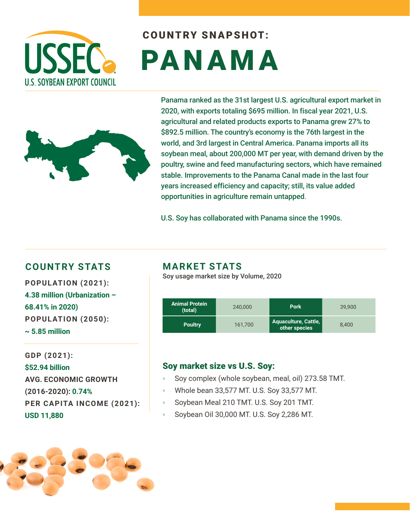

# COUNTRY SNAPSHOT: PANAMA



Panama ranked as the 31st largest U.S. agricultural export market in 2020, with exports totaling \$695 million. In fiscal year 2021, U.S. agricultural and related products exports to Panama grew 27% to \$892.5 million. The country's economy is the 76th largest in the world, and 3rd largest in Central America. Panama imports all its soybean meal, about 200,000 MT per year, with demand driven by the poultry, swine and feed manufacturing sectors, which have remained stable. Improvements to the Panama Canal made in the last four years increased efficiency and capacity; still, its value added opportunities in agriculture remain untapped.

U.S. Soy has collaborated with Panama since the 1990s.

### **COUNTRY STATS MARKET STATS**

**POPULATION (2021): 4.38 million (Urbanization – 68.41% in 2020) POPULATION (2050): ~ 5.85 million** 

**GDP (2021): \$52.94 billion AVG. ECONOMIC GROWTH (2016-2020): 0.74% PER CAPITA INCOME (2021): USD 11,880**

Soy usage market size by Volume, 2020

| <b>Animal Protein</b><br>(total) | 240,000 | <b>Pork</b>                                  | 39,900 |
|----------------------------------|---------|----------------------------------------------|--------|
| <b>Poultry</b>                   | 161.700 | <b>Aquaculture, Cattle,</b><br>other species | 8.400  |

### Soy market size vs U.S. Soy:

- Soy complex (whole soybean, meal, oil) 273.58 TMT.
- Whole bean 33,577 MT. U.S. Soy 33,577 MT.
- Soybean Meal 210 TMT. U.S. Soy 201 TMT.
- Soybean Oil 30,000 MT. U.S. Soy 2,286 MT.